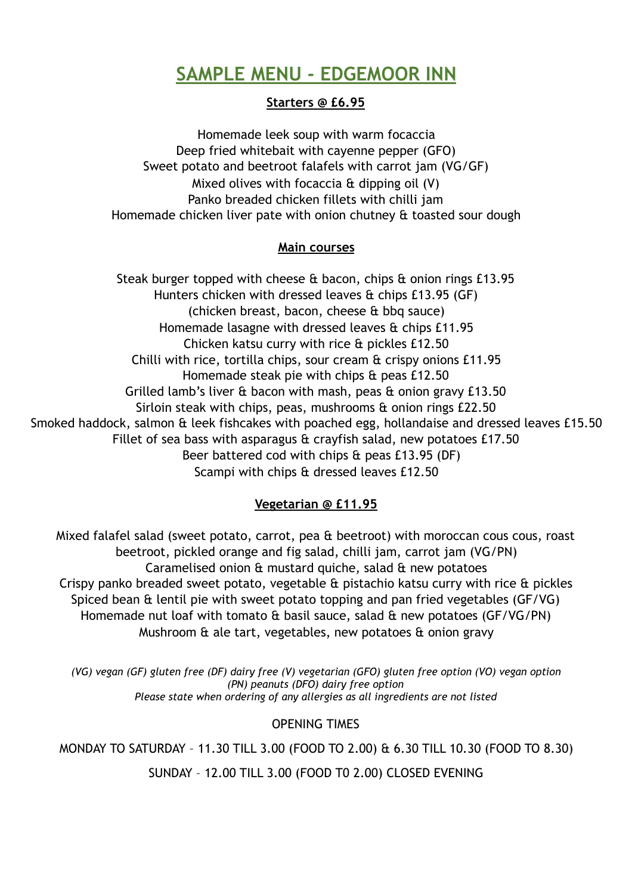# **SAMPLE MENU - EDGEMOOR INN**

## **Starters @ £6.95**

Homemade leek soup with warm focaccia Deep fried whitebait with cayenne pepper (GFO) Sweet potato and beetroot falafels with carrot jam (VG/GF) Mixed olives with focaccia & dipping oil (V) Panko breaded chicken fillets with chilli jam Homemade chicken liver pate with onion chutney & toasted sour dough

#### **Main courses**

Steak burger topped with cheese & bacon, chips & onion rings £13.95 Hunters chicken with dressed leaves & chips £13.95 (GF) (chicken breast, bacon, cheese & bbq sauce) Homemade lasagne with dressed leaves & chips £11.95 Chicken katsu curry with rice & pickles £12.50 Chilli with rice, tortilla chips, sour cream & crispy onions £11.95 Homemade steak pie with chips & peas £12.50 Grilled lamb's liver & bacon with mash, peas & onion gravy £13.50 Sirloin steak with chips, peas, mushrooms & onion rings £22.50 Smoked haddock, salmon & leek fishcakes with poached egg, hollandaise and dressed leaves £15.50 Fillet of sea bass with asparagus & crayfish salad, new potatoes £17.50 Beer battered cod with chips  $\hat{a}$  peas £13.95 (DF) Scampi with chips & dressed leaves £12.50

## **Vegetarian @ £11.95**

Mixed falafel salad (sweet potato, carrot, pea & beetroot) with moroccan cous cous, roast beetroot, pickled orange and fig salad, chilli jam, carrot jam (VG/PN) Caramelised onion & mustard quiche, salad & new potatoes Crispy panko breaded sweet potato, vegetable & pistachio katsu curry with rice & pickles Spiced bean & lentil pie with sweet potato topping and pan fried vegetables (GF/VG) Homemade nut loaf with tomato & basil sauce, salad & new potatoes (GF/VG/PN) Mushroom & ale tart, vegetables, new potatoes & onion gravy

*(VG) vegan (GF) gluten free (DF) dairy free (V) vegetarian (GFO) gluten free option (VO) vegan option (PN) peanuts (DFO) dairy free option Please state when ordering of any allergies as all ingredients are not listed* 

## OPENING TIMES

MONDAY TO SATURDAY – 11.30 TILL 3.00 (FOOD TO 2.00) & 6.30 TILL 10.30 (FOOD TO 8.30)

SUNDAY – 12.00 TILL 3.00 (FOOD T0 2.00) CLOSED EVENING